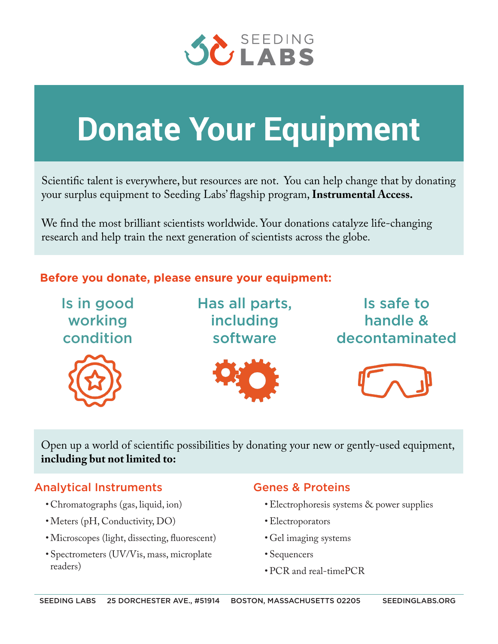

# **Donate Your Equipment**

Scientific talent is everywhere, but resources are not. You can help change that by donating your surplus equipment to Seeding Labs' flagship program, **Instrumental Access.**

We find the most brilliant scientists worldwide. Your donations catalyze life-changing research and help train the next generation of scientists across the globe.

# **Before you donate, please ensure your equipment:**



Open up a world of scientific possibilities by donating your new or gently-used equipment, **including but not limited to:**

# Analytical Instruments

- Chromatographs (gas, liquid, ion)
- •Meters (pH, Conductivity, DO)
- •Microscopes (light, dissecting, fluorescent)
- Spectrometers (UV/Vis, mass, microplate readers)

# Genes & Proteins

- •Electrophoresis systems & power supplies
- •Electroporators
- Gel imaging systems
- Sequencers
- PCR and real-timePCR